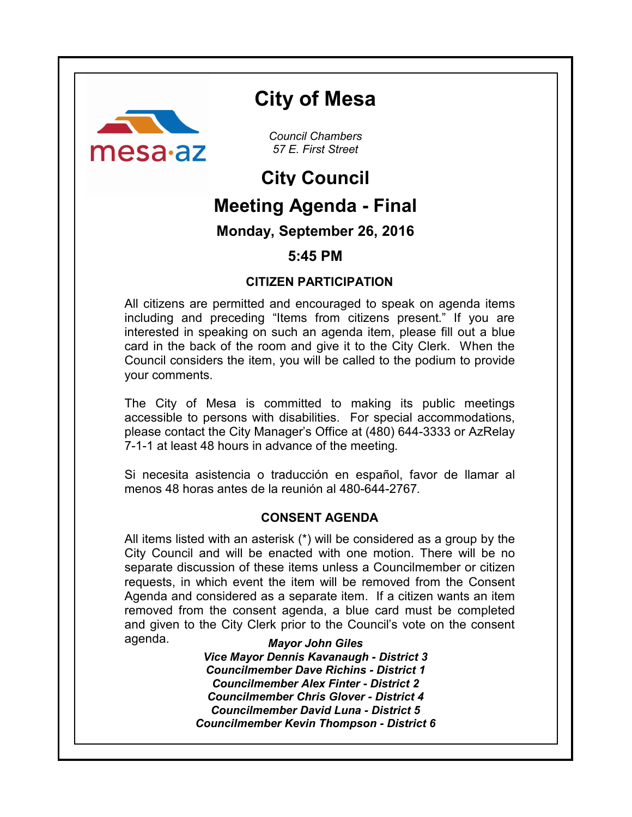

# **City of Mesa**

*Council Chambers 57 E. First Street*

# **City Council**

# **Meeting Agenda - Final**

# **Monday, September 26, 2016**

# **5:45 PM**

# **CITIZEN PARTICIPATION**

All citizens are permitted and encouraged to speak on agenda items including and preceding "Items from citizens present." If you are interested in speaking on such an agenda item, please fill out a blue card in the back of the room and give it to the City Clerk. When the Council considers the item, you will be called to the podium to provide your comments.

The City of Mesa is committed to making its public meetings accessible to persons with disabilities. For special accommodations, please contact the City Manager's Office at (480) 644-3333 or AzRelay 7-1-1 at least 48 hours in advance of the meeting.

Si necesita asistencia o traducción en español, favor de llamar al menos 48 horas antes de la reunión al 480-644-2767.

# **CONSENT AGENDA**

All items listed with an asterisk (\*) will be considered as a group by the City Council and will be enacted with one motion. There will be no separate discussion of these items unless a Councilmember or citizen requests, in which event the item will be removed from the Consent Agenda and considered as a separate item. If a citizen wants an item removed from the consent agenda, a blue card must be completed and given to the City Clerk prior to the Council's vote on the consent agenda.

*Mayor John Giles Vice Mayor Dennis Kavanaugh - District 3 Councilmember Dave Richins - District 1 Councilmember Alex Finter - District 2 Councilmember Chris Glover - District 4 Councilmember David Luna - District 5 Councilmember Kevin Thompson - District 6*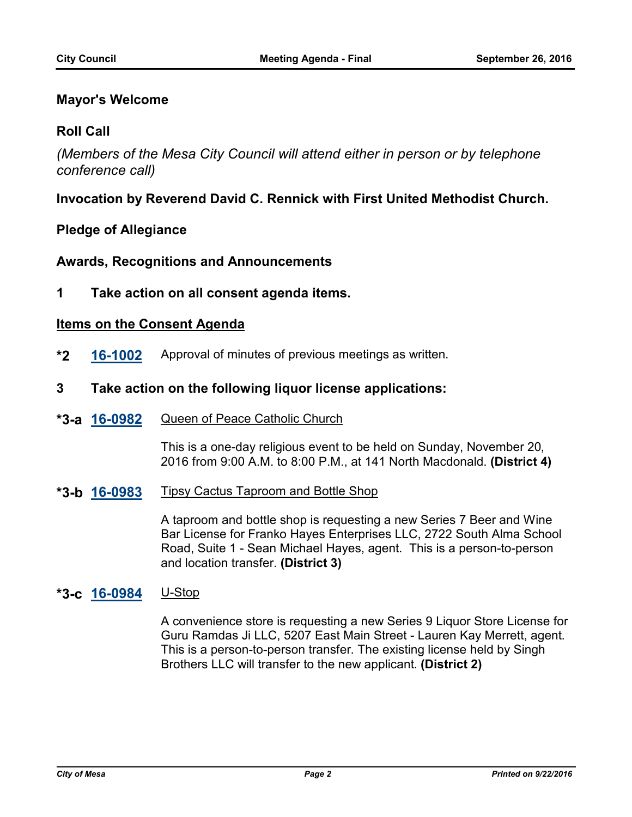## **Mayor's Welcome**

## **Roll Call**

*(Members of the Mesa City Council will attend either in person or by telephone conference call)*

# **Invocation by Reverend David C. Rennick with First United Methodist Church.**

## **Pledge of Allegiance**

### **Awards, Recognitions and Announcements**

**1 Take action on all consent agenda items.**

### **Items on the Consent Agenda**

- **\*2 [16-1002](http://mesa.legistar.com/gateway.aspx?m=l&id=/matter.aspx?key=9802)** Approval of minutes of previous meetings as written.
- **3 Take action on the following liquor license applications:**
- **[16-0982](http://mesa.legistar.com/gateway.aspx?m=l&id=/matter.aspx?key=9782)** Queen of Peace Catholic Church **\*3-a**

This is a one-day religious event to be held on Sunday, November 20, 2016 from 9:00 A.M. to 8:00 P.M., at 141 North Macdonald. **(District 4)**

**[16-0983](http://mesa.legistar.com/gateway.aspx?m=l&id=/matter.aspx?key=9783)** Tipsy Cactus Taproom and Bottle Shop **\*3-b**

> A taproom and bottle shop is requesting a new Series 7 Beer and Wine Bar License for Franko Hayes Enterprises LLC, 2722 South Alma School Road, Suite 1 - Sean Michael Hayes, agent. This is a person-to-person and location transfer. **(District 3)**

# **[16-0984](http://mesa.legistar.com/gateway.aspx?m=l&id=/matter.aspx?key=9784)** U-Stop **\*3-c**

A convenience store is requesting a new Series 9 Liquor Store License for Guru Ramdas Ji LLC, 5207 East Main Street - Lauren Kay Merrett, agent. This is a person-to-person transfer. The existing license held by Singh Brothers LLC will transfer to the new applicant. **(District 2)**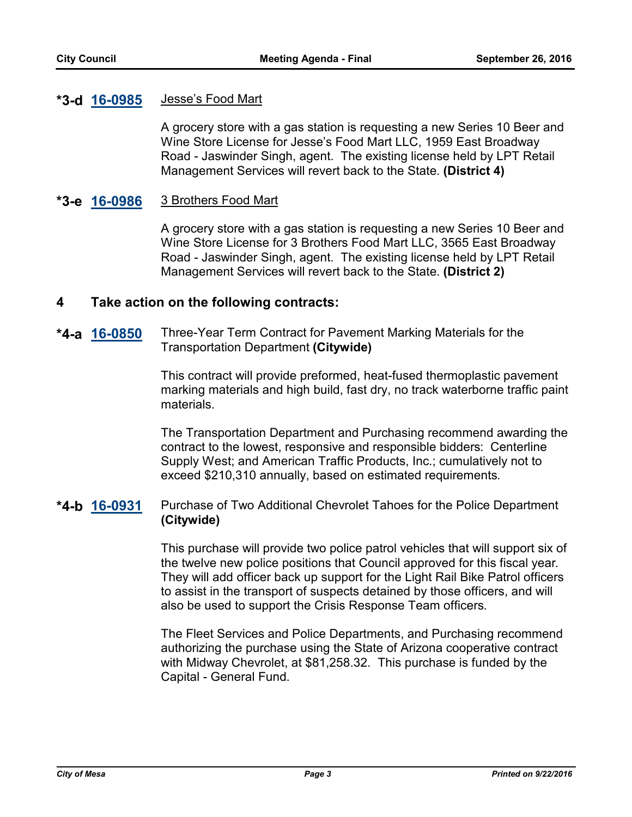#### **Jesse's Food Mart \*3-d**

A grocery store with a gas station is requesting a new Series 10 Beer and Wine Store License for Jesse's Food Mart LLC, 1959 East Broadway Road - Jaswinder Singh, agent. The existing license held by LPT Retail Management Services will revert back to the State. **(District 4)**

#### **[16-0986](http://mesa.legistar.com/gateway.aspx?m=l&id=/matter.aspx?key=9786)** 3 Brothers Food Mart **\*3-e**

A grocery store with a gas station is requesting a new Series 10 Beer and Wine Store License for 3 Brothers Food Mart LLC, 3565 East Broadway Road - Jaswinder Singh, agent. The existing license held by LPT Retail Management Services will revert back to the State. **(District 2)**

### **4 Take action on the following contracts:**

**[16-0850](http://mesa.legistar.com/gateway.aspx?m=l&id=/matter.aspx?key=9648)** Three-Year Term Contract for Pavement Marking Materials for the Transportation Department **(Citywide) \*4-a**

> This contract will provide preformed, heat-fused thermoplastic pavement marking materials and high build, fast dry, no track waterborne traffic paint materials.

> The Transportation Department and Purchasing recommend awarding the contract to the lowest, responsive and responsible bidders: Centerline Supply West; and American Traffic Products, Inc.; cumulatively not to exceed \$210,310 annually, based on estimated requirements.

### **[16-0931](http://mesa.legistar.com/gateway.aspx?m=l&id=/matter.aspx?key=9730)** Purchase of Two Additional Chevrolet Tahoes for the Police Department **(Citywide) \*4-b**

This purchase will provide two police patrol vehicles that will support six of the twelve new police positions that Council approved for this fiscal year. They will add officer back up support for the Light Rail Bike Patrol officers to assist in the transport of suspects detained by those officers, and will also be used to support the Crisis Response Team officers.

The Fleet Services and Police Departments, and Purchasing recommend authorizing the purchase using the State of Arizona cooperative contract with Midway Chevrolet, at \$81,258.32. This purchase is funded by the Capital - General Fund.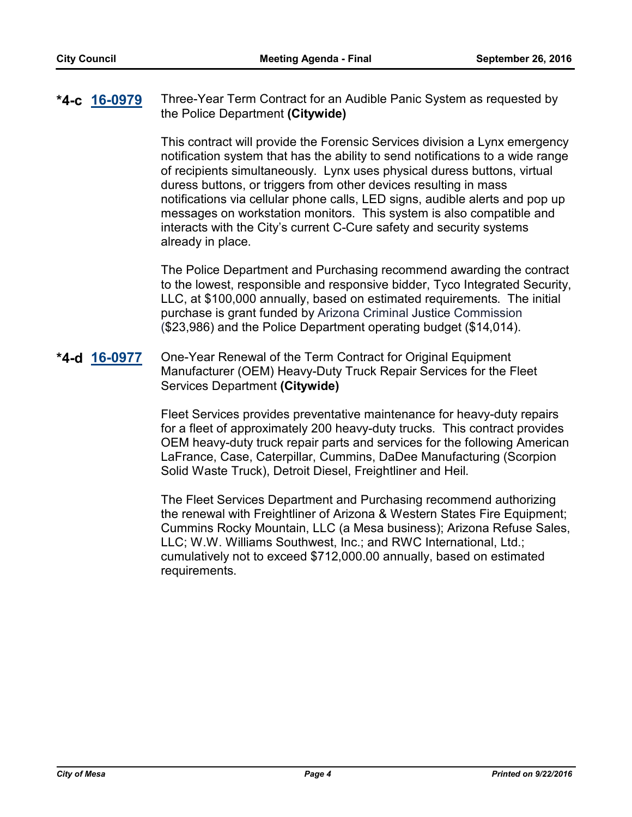### **[16-0979](http://mesa.legistar.com/gateway.aspx?m=l&id=/matter.aspx?key=9779)** Three-Year Term Contract for an Audible Panic System as requested by the Police Department **(Citywide) \*4-c**

This contract will provide the Forensic Services division a Lynx emergency notification system that has the ability to send notifications to a wide range of recipients simultaneously. Lynx uses physical duress buttons, virtual duress buttons, or triggers from other devices resulting in mass notifications via cellular phone calls, LED signs, audible alerts and pop up messages on workstation monitors. This system is also compatible and interacts with the City's current C-Cure safety and security systems already in place.

The Police Department and Purchasing recommend awarding the contract to the lowest, responsible and responsive bidder, Tyco Integrated Security, LLC, at \$100,000 annually, based on estimated requirements. The initial purchase is grant funded by Arizona Criminal Justice Commission (\$23,986) and the Police Department operating budget (\$14,014).

### **[16-0977](http://mesa.legistar.com/gateway.aspx?m=l&id=/matter.aspx?key=9777)** One-Year Renewal of the Term Contract for Original Equipment Manufacturer (OEM) Heavy-Duty Truck Repair Services for the Fleet Services Department **(Citywide) \*4-d**

Fleet Services provides preventative maintenance for heavy-duty repairs for a fleet of approximately 200 heavy-duty trucks. This contract provides OEM heavy-duty truck repair parts and services for the following American LaFrance, Case, Caterpillar, Cummins, DaDee Manufacturing (Scorpion Solid Waste Truck), Detroit Diesel, Freightliner and Heil.

The Fleet Services Department and Purchasing recommend authorizing the renewal with Freightliner of Arizona & Western States Fire Equipment; Cummins Rocky Mountain, LLC (a Mesa business); Arizona Refuse Sales, LLC; W.W. Williams Southwest, Inc.; and RWC International, Ltd.; cumulatively not to exceed \$712,000.00 annually, based on estimated requirements.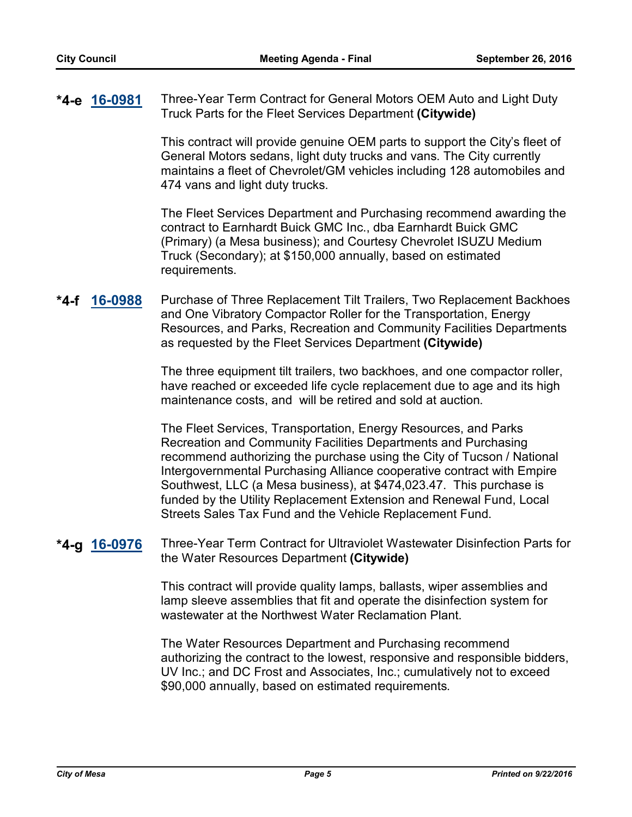**[16-0981](http://mesa.legistar.com/gateway.aspx?m=l&id=/matter.aspx?key=9781)** Three-Year Term Contract for General Motors OEM Auto and Light Duty Truck Parts for the Fleet Services Department **(Citywide) \*4-e**

> This contract will provide genuine OEM parts to support the City's fleet of General Motors sedans, light duty trucks and vans. The City currently maintains a fleet of Chevrolet/GM vehicles including 128 automobiles and 474 vans and light duty trucks.

> The Fleet Services Department and Purchasing recommend awarding the contract to Earnhardt Buick GMC Inc., dba Earnhardt Buick GMC (Primary) (a Mesa business); and Courtesy Chevrolet ISUZU Medium Truck (Secondary); at \$150,000 annually, based on estimated requirements.

**[16-0988](http://mesa.legistar.com/gateway.aspx?m=l&id=/matter.aspx?key=9788)** Purchase of Three Replacement Tilt Trailers, Two Replacement Backhoes and One Vibratory Compactor Roller for the Transportation, Energy Resources, and Parks, Recreation and Community Facilities Departments as requested by the Fleet Services Department **(Citywide) \*4-f**

> The three equipment tilt trailers, two backhoes, and one compactor roller, have reached or exceeded life cycle replacement due to age and its high maintenance costs, and will be retired and sold at auction.

> The Fleet Services, Transportation, Energy Resources, and Parks Recreation and Community Facilities Departments and Purchasing recommend authorizing the purchase using the City of Tucson / National Intergovernmental Purchasing Alliance cooperative contract with Empire Southwest, LLC (a Mesa business), at \$474,023.47. This purchase is funded by the Utility Replacement Extension and Renewal Fund, Local Streets Sales Tax Fund and the Vehicle Replacement Fund.

**[16-0976](http://mesa.legistar.com/gateway.aspx?m=l&id=/matter.aspx?key=9776)** Three-Year Term Contract for Ultraviolet Wastewater Disinfection Parts for the Water Resources Department **(Citywide) \*4-g**

> This contract will provide quality lamps, ballasts, wiper assemblies and lamp sleeve assemblies that fit and operate the disinfection system for wastewater at the Northwest Water Reclamation Plant.

The Water Resources Department and Purchasing recommend authorizing the contract to the lowest, responsive and responsible bidders, UV Inc.; and DC Frost and Associates, Inc.; cumulatively not to exceed \$90,000 annually, based on estimated requirements.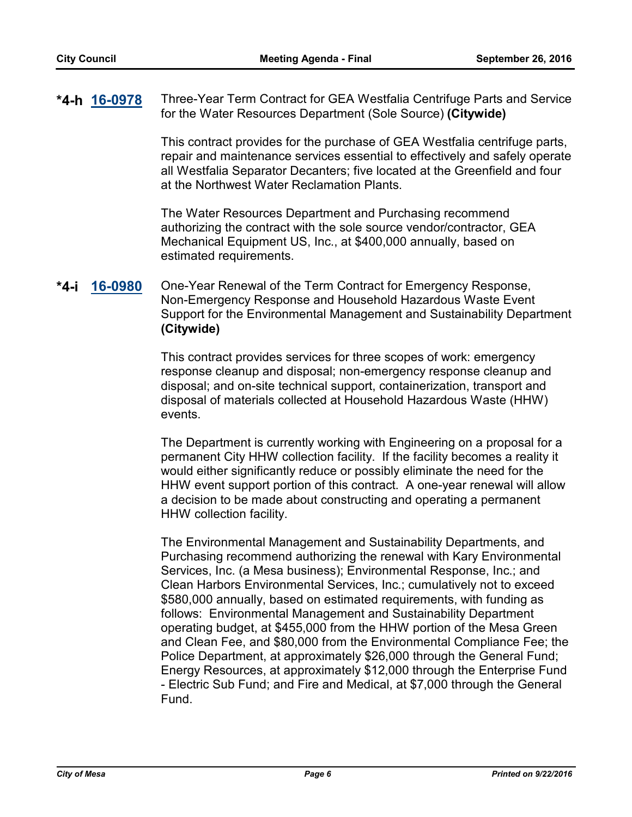### **[16-0978](http://mesa.legistar.com/gateway.aspx?m=l&id=/matter.aspx?key=9778)** Three-Year Term Contract for GEA Westfalia Centrifuge Parts and Service for the Water Resources Department (Sole Source) **(Citywide) \*4-h**

This contract provides for the purchase of GEA Westfalia centrifuge parts, repair and maintenance services essential to effectively and safely operate all Westfalia Separator Decanters; five located at the Greenfield and four at the Northwest Water Reclamation Plants.

The Water Resources Department and Purchasing recommend authorizing the contract with the sole source vendor/contractor, GEA Mechanical Equipment US, Inc., at \$400,000 annually, based on estimated requirements.

### **[16-0980](http://mesa.legistar.com/gateway.aspx?m=l&id=/matter.aspx?key=9780)** One-Year Renewal of the Term Contract for Emergency Response, Non-Emergency Response and Household Hazardous Waste Event Support for the Environmental Management and Sustainability Department **(Citywide) \*4-i**

This contract provides services for three scopes of work: emergency response cleanup and disposal; non-emergency response cleanup and disposal; and on-site technical support, containerization, transport and disposal of materials collected at Household Hazardous Waste (HHW) events.

The Department is currently working with Engineering on a proposal for a permanent City HHW collection facility. If the facility becomes a reality it would either significantly reduce or possibly eliminate the need for the HHW event support portion of this contract. A one-year renewal will allow a decision to be made about constructing and operating a permanent HHW collection facility.

The Environmental Management and Sustainability Departments, and Purchasing recommend authorizing the renewal with Kary Environmental Services, Inc. (a Mesa business); Environmental Response, Inc.; and Clean Harbors Environmental Services, Inc.; cumulatively not to exceed \$580,000 annually, based on estimated requirements, with funding as follows: Environmental Management and Sustainability Department operating budget, at \$455,000 from the HHW portion of the Mesa Green and Clean Fee, and \$80,000 from the Environmental Compliance Fee; the Police Department, at approximately \$26,000 through the General Fund; Energy Resources, at approximately \$12,000 through the Enterprise Fund - Electric Sub Fund; and Fire and Medical, at \$7,000 through the General Fund.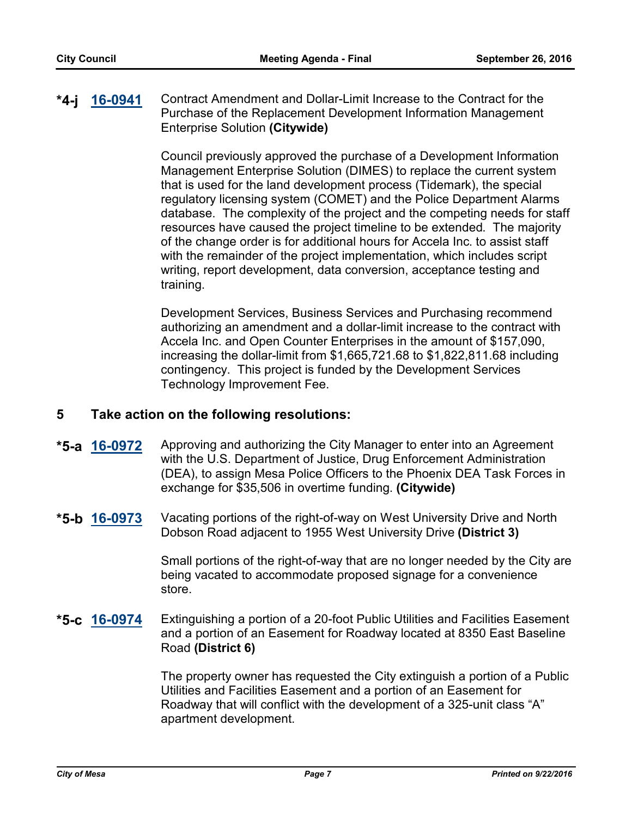### **[16-0941](http://mesa.legistar.com/gateway.aspx?m=l&id=/matter.aspx?key=9740)** Contract Amendment and Dollar-Limit Increase to the Contract for the Purchase of the Replacement Development Information Management Enterprise Solution **(Citywide) \*4-j**

Council previously approved the purchase of a Development Information Management Enterprise Solution (DIMES) to replace the current system that is used for the land development process (Tidemark), the special regulatory licensing system (COMET) and the Police Department Alarms database. The complexity of the project and the competing needs for staff resources have caused the project timeline to be extended. The majority of the change order is for additional hours for Accela Inc. to assist staff with the remainder of the project implementation, which includes script writing, report development, data conversion, acceptance testing and training.

Development Services, Business Services and Purchasing recommend authorizing an amendment and a dollar-limit increase to the contract with Accela Inc. and Open Counter Enterprises in the amount of \$157,090, increasing the dollar-limit from \$1,665,721.68 to \$1,822,811.68 including contingency. This project is funded by the Development Services Technology Improvement Fee.

### **5 Take action on the following resolutions:**

- **[16-0972](http://mesa.legistar.com/gateway.aspx?m=l&id=/matter.aspx?key=9772)** Approving and authorizing the City Manager to enter into an Agreement with the U.S. Department of Justice, Drug Enforcement Administration (DEA), to assign Mesa Police Officers to the Phoenix DEA Task Forces in exchange for \$35,506 in overtime funding. **(Citywide) \*5-a**
- **[16-0973](http://mesa.legistar.com/gateway.aspx?m=l&id=/matter.aspx?key=9773)** Vacating portions of the right-of-way on West University Drive and North Dobson Road adjacent to 1955 West University Drive **(District 3) \*5-b**

Small portions of the right-of-way that are no longer needed by the City are being vacated to accommodate proposed signage for a convenience store.

### Extinguishing a portion of a 20-foot Public Utilities and Facilities Easement and a portion of an Easement for Roadway located at 8350 East Baseline Road **(District 6) \*5-c**

The property owner has requested the City extinguish a portion of a Public Utilities and Facilities Easement and a portion of an Easement for Roadway that will conflict with the development of a 325-unit class "A" apartment development.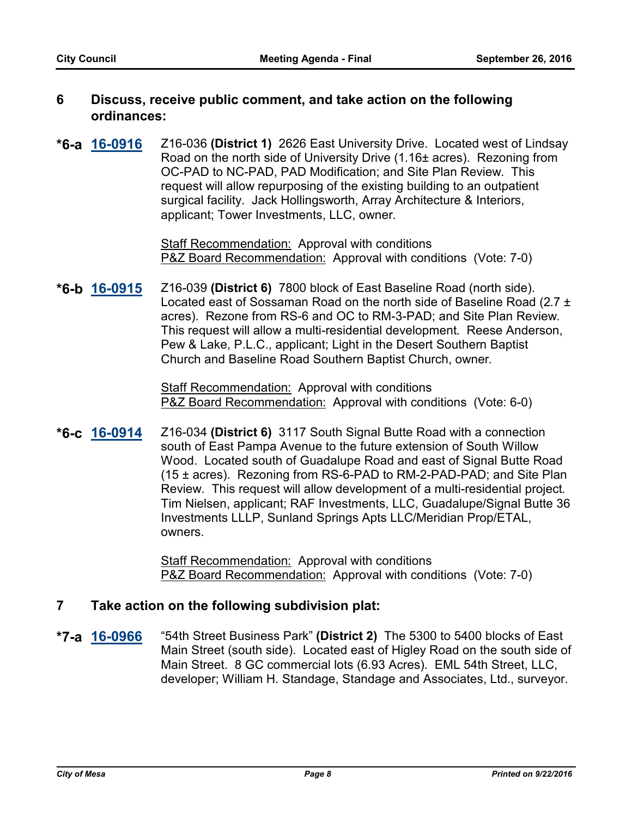### **6 Discuss, receive public comment, and take action on the following ordinances:**

**[16-0916](http://mesa.legistar.com/gateway.aspx?m=l&id=/matter.aspx?key=9715)** Z16-036 **(District 1)** 2626 East University Drive. Located west of Lindsay Road on the north side of University Drive (1.16± acres). Rezoning from OC-PAD to NC-PAD, PAD Modification; and Site Plan Review. This request will allow repurposing of the existing building to an outpatient surgical facility. Jack Hollingsworth, Array Architecture & Interiors, applicant; Tower Investments, LLC, owner. **\*6-a**

> Staff Recommendation:Approval with conditions P&Z Board Recommendation: Approval with conditions (Vote: 7-0)

**[16-0915](http://mesa.legistar.com/gateway.aspx?m=l&id=/matter.aspx?key=9714)** Z16-039 **(District 6)** 7800 block of East Baseline Road (north side). Located east of Sossaman Road on the north side of Baseline Road (2.7 ± acres). Rezone from RS-6 and OC to RM-3-PAD; and Site Plan Review. This request will allow a multi-residential development. Reese Anderson, Pew & Lake, P.L.C., applicant; Light in the Desert Southern Baptist Church and Baseline Road Southern Baptist Church, owner. **\*6-b**

> Staff Recommendation:Approval with conditions P&Z Board Recommendation: Approval with conditions (Vote: 6-0)

**[16-0914](http://mesa.legistar.com/gateway.aspx?m=l&id=/matter.aspx?key=9713)** Z16-034 **(District 6)** 3117 South Signal Butte Road with a connection south of East Pampa Avenue to the future extension of South Willow Wood. Located south of Guadalupe Road and east of Signal Butte Road (15 ± acres). Rezoning from RS-6-PAD to RM-2-PAD-PAD; and Site Plan Review. This request will allow development of a multi-residential project. Tim Nielsen, applicant; RAF Investments, LLC, Guadalupe/Signal Butte 36 Investments LLLP, Sunland Springs Apts LLC/Meridian Prop/ETAL, owners. **\*6-c**

> Staff Recommendation:Approval with conditions P&Z Board Recommendation: Approval with conditions (Vote: 7-0)

## **7 Take action on the following subdivision plat:**

**[16-0966](http://mesa.legistar.com/gateway.aspx?m=l&id=/matter.aspx?key=9765)** "54th Street Business Park" **(District 2)** The 5300 to 5400 blocks of East Main Street (south side). Located east of Higley Road on the south side of Main Street. 8 GC commercial lots (6.93 Acres). EML 54th Street, LLC, developer; William H. Standage, Standage and Associates, Ltd., surveyor. **\*7-a**